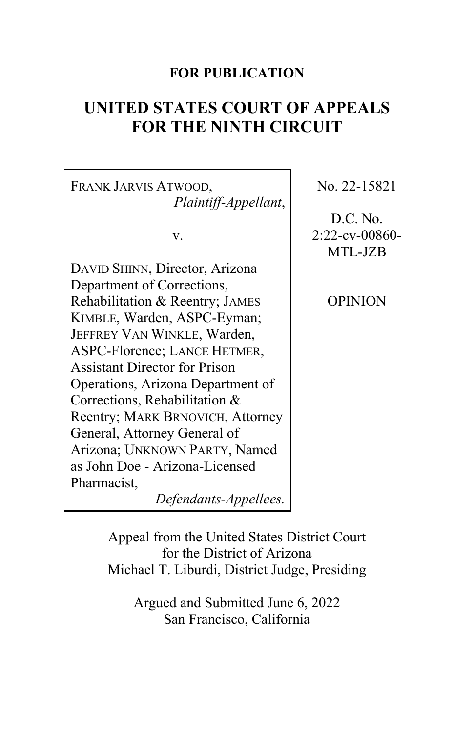# **FOR PUBLICATION**

# **UNITED STATES COURT OF APPEALS FOR THE NINTH CIRCUIT**

FRANK JARVIS ATWOOD, *Plaintiff-Appellant*,

v.

DAVID SHINN, Director, Arizona Department of Corrections, Rehabilitation & Reentry; JAMES KIMBLE, Warden, ASPC-Eyman; JEFFREY VAN WINKLE, Warden, ASPC-Florence; LANCE HETMER, Assistant Director for Prison Operations, Arizona Department of Corrections, Rehabilitation & Reentry; MARK BRNOVICH, Attorney General, Attorney General of Arizona; UNKNOWN PARTY, Named as John Doe - Arizona-Licensed Pharmacist,

*Defendants-Appellees.*

No. 22-15821

D.C. No. 2:22-cv-00860- MTL-JZB

OPINION

Appeal from the United States District Court for the District of Arizona Michael T. Liburdi, District Judge, Presiding

> Argued and Submitted June 6, 2022 San Francisco, California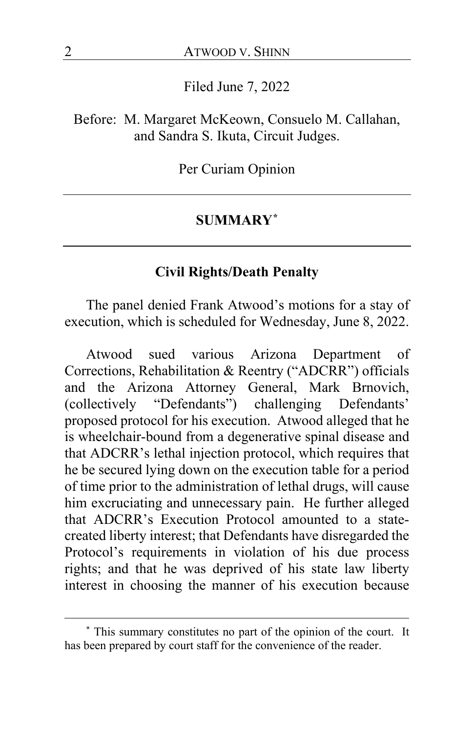Filed June 7, 2022

Before: M. Margaret McKeown, Consuelo M. Callahan, and Sandra S. Ikuta, Circuit Judges.

Per Curiam Opinion

#### **SUMMARY[\\*](#page-1-0)**

## **Civil Rights/Death Penalty**

The panel denied Frank Atwood's motions for a stay of execution, which is scheduled for Wednesday, June 8, 2022.

Atwood sued various Arizona Department of Corrections, Rehabilitation & Reentry ("ADCRR") officials and the Arizona Attorney General, Mark Brnovich, (collectively "Defendants") challenging Defendants' proposed protocol for his execution. Atwood alleged that he is wheelchair-bound from a degenerative spinal disease and that ADCRR's lethal injection protocol, which requires that he be secured lying down on the execution table for a period of time prior to the administration of lethal drugs, will cause him excruciating and unnecessary pain. He further alleged that ADCRR's Execution Protocol amounted to a statecreated liberty interest; that Defendants have disregarded the Protocol's requirements in violation of his due process rights; and that he was deprived of his state law liberty interest in choosing the manner of his execution because

<span id="page-1-0"></span><sup>\*</sup> This summary constitutes no part of the opinion of the court. It has been prepared by court staff for the convenience of the reader.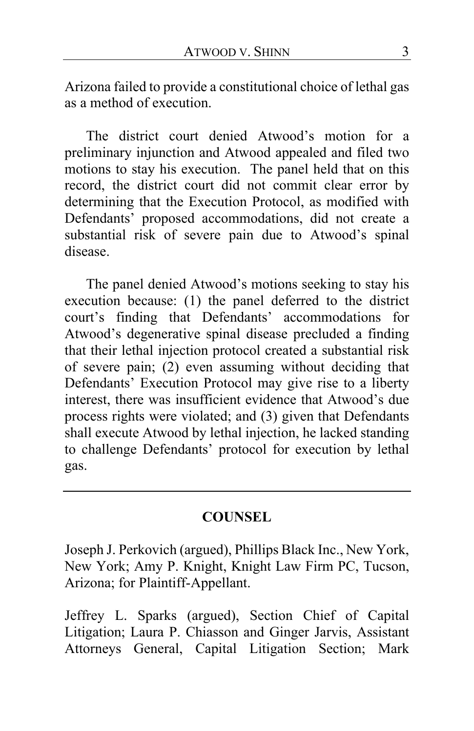Arizona failed to provide a constitutional choice of lethal gas as a method of execution.

The district court denied Atwood's motion for a preliminary injunction and Atwood appealed and filed two motions to stay his execution. The panel held that on this record, the district court did not commit clear error by determining that the Execution Protocol, as modified with Defendants' proposed accommodations, did not create a substantial risk of severe pain due to Atwood's spinal disease.

The panel denied Atwood's motions seeking to stay his execution because: (1) the panel deferred to the district court's finding that Defendants' accommodations for Atwood's degenerative spinal disease precluded a finding that their lethal injection protocol created a substantial risk of severe pain; (2) even assuming without deciding that Defendants' Execution Protocol may give rise to a liberty interest, there was insufficient evidence that Atwood's due process rights were violated; and (3) given that Defendants shall execute Atwood by lethal injection, he lacked standing to challenge Defendants' protocol for execution by lethal gas.

## **COUNSEL**

Joseph J. Perkovich (argued), Phillips Black Inc., New York, New York; Amy P. Knight, Knight Law Firm PC, Tucson, Arizona; for Plaintiff-Appellant.

Jeffrey L. Sparks (argued), Section Chief of Capital Litigation; Laura P. Chiasson and Ginger Jarvis, Assistant Attorneys General, Capital Litigation Section; Mark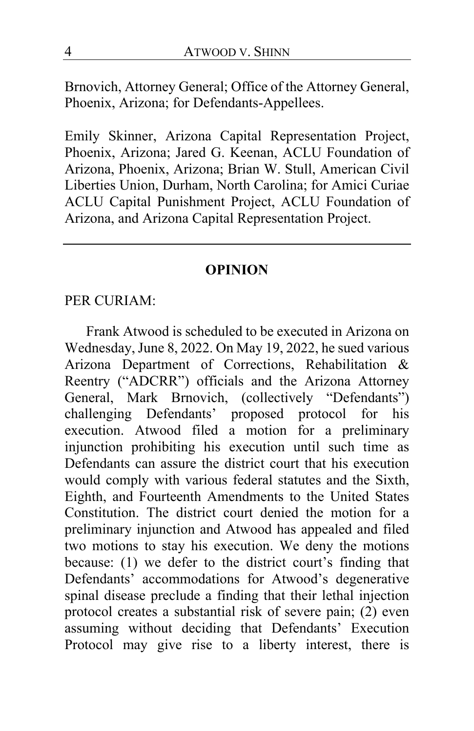Brnovich, Attorney General; Office of the Attorney General, Phoenix, Arizona; for Defendants-Appellees.

Emily Skinner, Arizona Capital Representation Project, Phoenix, Arizona; Jared G. Keenan, ACLU Foundation of Arizona, Phoenix, Arizona; Brian W. Stull, American Civil Liberties Union, Durham, North Carolina; for Amici Curiae ACLU Capital Punishment Project, ACLU Foundation of Arizona, and Arizona Capital Representation Project.

## **OPINION**

#### PER CURIAM:

Frank Atwood is scheduled to be executed in Arizona on Wednesday, June 8, 2022. On May 19, 2022, he sued various Arizona Department of Corrections, Rehabilitation & Reentry ("ADCRR") officials and the Arizona Attorney General, Mark Brnovich, (collectively "Defendants") challenging Defendants' proposed protocol for his execution. Atwood filed a motion for a preliminary injunction prohibiting his execution until such time as Defendants can assure the district court that his execution would comply with various federal statutes and the Sixth, Eighth, and Fourteenth Amendments to the United States Constitution. The district court denied the motion for a preliminary injunction and Atwood has appealed and filed two motions to stay his execution. We deny the motions because: (1) we defer to the district court's finding that Defendants' accommodations for Atwood's degenerative spinal disease preclude a finding that their lethal injection protocol creates a substantial risk of severe pain; (2) even assuming without deciding that Defendants' Execution Protocol may give rise to a liberty interest, there is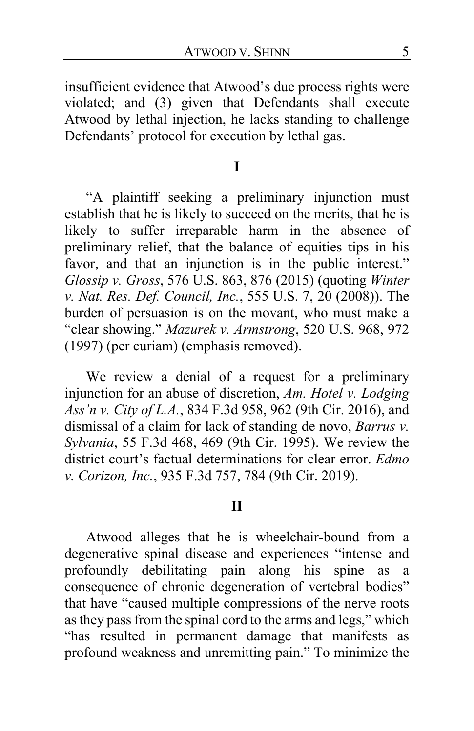insufficient evidence that Atwood's due process rights were violated; and (3) given that Defendants shall execute Atwood by lethal injection, he lacks standing to challenge Defendants' protocol for execution by lethal gas.

#### **I**

"A plaintiff seeking a preliminary injunction must establish that he is likely to succeed on the merits, that he is likely to suffer irreparable harm in the absence of preliminary relief, that the balance of equities tips in his favor, and that an injunction is in the public interest." *Glossip v. Gross*, 576 U.S. 863, 876 (2015) (quoting *Winter v. Nat. Res. Def. Council, Inc.*, 555 U.S. 7, 20 (2008)). The burden of persuasion is on the movant, who must make a "clear showing." *Mazurek v. Armstrong*, 520 U.S. 968, 972 (1997) (per curiam) (emphasis removed).

We review a denial of a request for a preliminary injunction for an abuse of discretion, *Am. Hotel v. Lodging Ass'n v. City of L.A.*, 834 F.3d 958, 962 (9th Cir. 2016), and dismissal of a claim for lack of standing de novo, *Barrus v. Sylvania*, 55 F.3d 468, 469 (9th Cir. 1995). We review the district court's factual determinations for clear error. *Edmo v. Corizon, Inc.*, 935 F.3d 757, 784 (9th Cir. 2019).

### **II**

Atwood alleges that he is wheelchair-bound from a degenerative spinal disease and experiences "intense and profoundly debilitating pain along his spine as a consequence of chronic degeneration of vertebral bodies" that have "caused multiple compressions of the nerve roots as they pass from the spinal cord to the arms and legs," which "has resulted in permanent damage that manifests as profound weakness and unremitting pain." To minimize the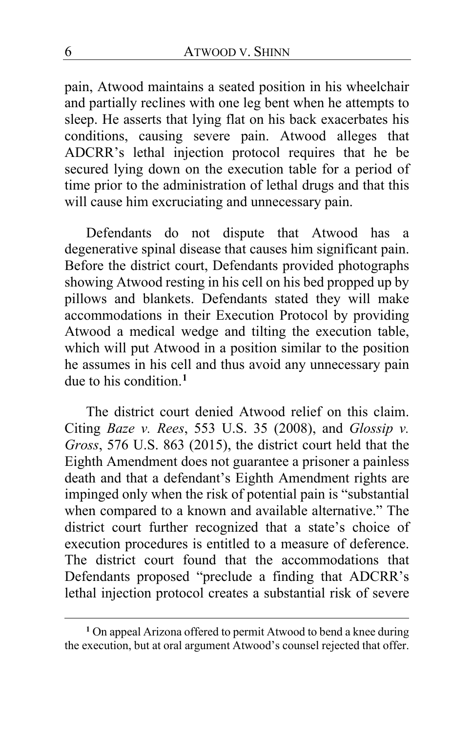pain, Atwood maintains a seated position in his wheelchair and partially reclines with one leg bent when he attempts to sleep. He asserts that lying flat on his back exacerbates his conditions, causing severe pain. Atwood alleges that ADCRR's lethal injection protocol requires that he be secured lying down on the execution table for a period of time prior to the administration of lethal drugs and that this will cause him excruciating and unnecessary pain.

Defendants do not dispute that Atwood has a degenerative spinal disease that causes him significant pain. Before the district court, Defendants provided photographs showing Atwood resting in his cell on his bed propped up by pillows and blankets. Defendants stated they will make accommodations in their Execution Protocol by providing Atwood a medical wedge and tilting the execution table, which will put Atwood in a position similar to the position he assumes in his cell and thus avoid any unnecessary pain due to his condition.**[1](#page-5-0)**

The district court denied Atwood relief on this claim. Citing *Baze v. Rees*, 553 U.S. 35 (2008), and *Glossip v. Gross*, 576 U.S. 863 (2015), the district court held that the Eighth Amendment does not guarantee a prisoner a painless death and that a defendant's Eighth Amendment rights are impinged only when the risk of potential pain is "substantial when compared to a known and available alternative." The district court further recognized that a state's choice of execution procedures is entitled to a measure of deference. The district court found that the accommodations that Defendants proposed "preclude a finding that ADCRR's lethal injection protocol creates a substantial risk of severe

<span id="page-5-0"></span>**<sup>1</sup>** On appeal Arizona offered to permit Atwood to bend a knee during the execution, but at oral argument Atwood's counsel rejected that offer.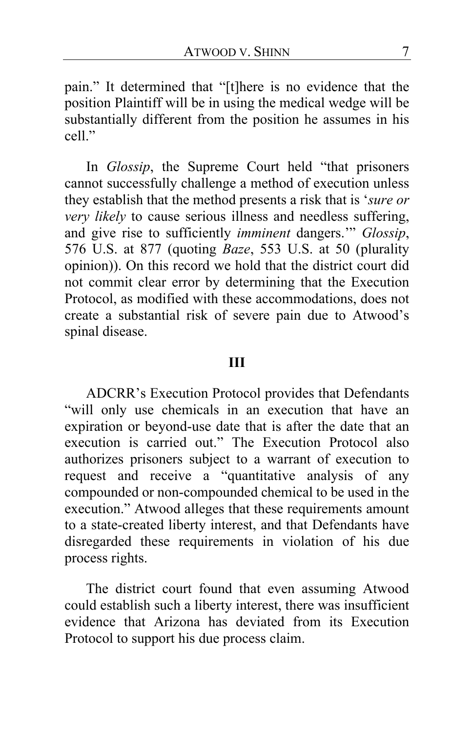pain." It determined that "[t]here is no evidence that the position Plaintiff will be in using the medical wedge will be substantially different from the position he assumes in his  $cell$ "

In *Glossip*, the Supreme Court held "that prisoners cannot successfully challenge a method of execution unless they establish that the method presents a risk that is '*sure or very likely* to cause serious illness and needless suffering, and give rise to sufficiently *imminent* dangers.'" *Glossip*, 576 U.S. at 877 (quoting *Baze*, 553 U.S. at 50 (plurality opinion)). On this record we hold that the district court did not commit clear error by determining that the Execution Protocol, as modified with these accommodations, does not create a substantial risk of severe pain due to Atwood's spinal disease.

#### **III**

ADCRR's Execution Protocol provides that Defendants "will only use chemicals in an execution that have an expiration or beyond-use date that is after the date that an execution is carried out." The Execution Protocol also authorizes prisoners subject to a warrant of execution to request and receive a "quantitative analysis of any compounded or non-compounded chemical to be used in the execution." Atwood alleges that these requirements amount to a state-created liberty interest, and that Defendants have disregarded these requirements in violation of his due process rights.

The district court found that even assuming Atwood could establish such a liberty interest, there was insufficient evidence that Arizona has deviated from its Execution Protocol to support his due process claim.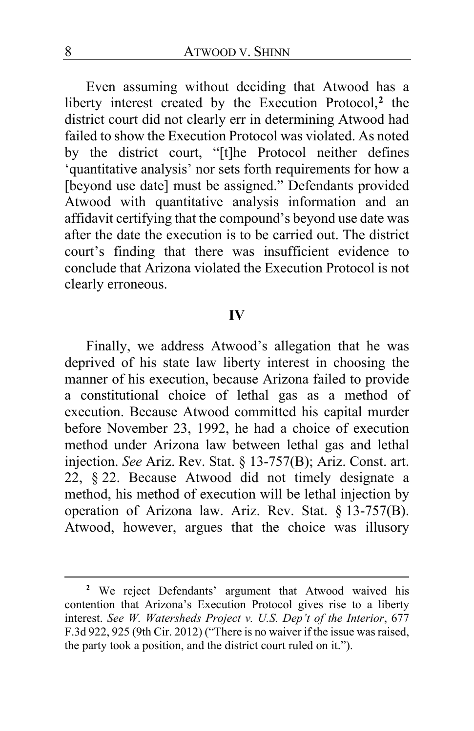Even assuming without deciding that Atwood has a liberty interest created by the Execution Protocol,**[2](#page-7-0)** the district court did not clearly err in determining Atwood had failed to show the Execution Protocol was violated. As noted by the district court, "[t]he Protocol neither defines 'quantitative analysis' nor sets forth requirements for how a [beyond use date] must be assigned." Defendants provided Atwood with quantitative analysis information and an affidavit certifying that the compound's beyond use date was after the date the execution is to be carried out. The district court's finding that there was insufficient evidence to conclude that Arizona violated the Execution Protocol is not clearly erroneous.

#### **IV**

Finally, we address Atwood's allegation that he was deprived of his state law liberty interest in choosing the manner of his execution, because Arizona failed to provide a constitutional choice of lethal gas as a method of execution. Because Atwood committed his capital murder before November 23, 1992, he had a choice of execution method under Arizona law between lethal gas and lethal injection. *See* Ariz. Rev. Stat. § 13-757(B); Ariz. Const. art. 22, § 22. Because Atwood did not timely designate a method, his method of execution will be lethal injection by operation of Arizona law. Ariz. Rev. Stat. § 13-757(B). Atwood, however, argues that the choice was illusory

<span id="page-7-0"></span>**<sup>2</sup>** We reject Defendants' argument that Atwood waived his contention that Arizona's Execution Protocol gives rise to a liberty interest. *See W. Watersheds Project v. U.S. Dep't of the Interior*, 677 F.3d 922, 925 (9th Cir. 2012) ("There is no waiver if the issue was raised, the party took a position, and the district court ruled on it.").